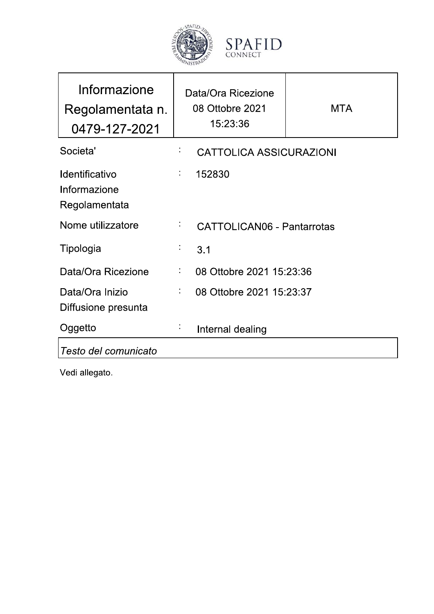

| SPAFID  |  |
|---------|--|
|         |  |
|         |  |
|         |  |
| CONNECT |  |

| Informazione<br>Regolamentata n.<br>0479-127-2021      |    | Data/Ora Ricezione<br>08 Ottobre 2021<br>15:23:36 | <b>MTA</b> |
|--------------------------------------------------------|----|---------------------------------------------------|------------|
| Societa'                                               |    | <b>CATTOLICA ASSICURAZIONI</b>                    |            |
| <b>Identificativo</b><br>Informazione<br>Regolamentata | ÷  | 152830                                            |            |
| Nome utilizzatore                                      | ÷, | <b>CATTOLICAN06 - Pantarrotas</b>                 |            |
| Tipologia                                              | ĵ, | 3.1                                               |            |
| Data/Ora Ricezione                                     | ÷, | 08 Ottobre 2021 15:23:36                          |            |
| Data/Ora Inizio<br>Diffusione presunta                 | ÷  | 08 Ottobre 2021 15:23:37                          |            |
| Oggetto                                                |    | Internal dealing                                  |            |
| Testo del comunicato                                   |    |                                                   |            |

Vedi allegato.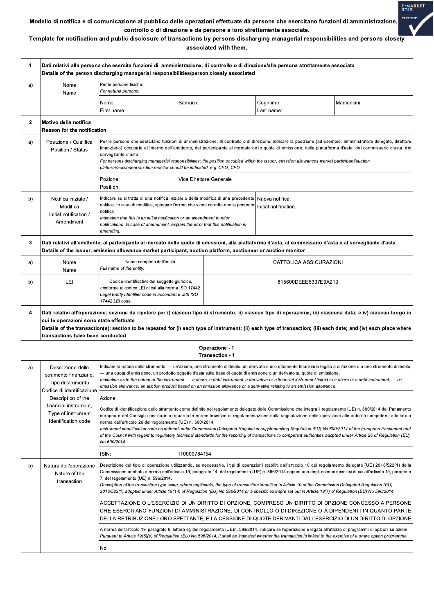

## Modello di notifica e di comunicazione al pubblico delle operazioni effettuate da persone che esercitano funzioni di amministrazione, controllo o di direzione e da persone a loro strettamente associate.

Template for notification and public disclosure of transactions by persons discharging managerial responsibilities and persons closely associated with them.

| 1            |                                                                                                                                                                                                                                                                                                                                                                                                                   | Dati relativi alla persona che esercita funzioni di  amministrazione, di controllo o di direzione/alla persona strettamente associata<br>Details of the person discharging managerial responsibilities/person closely associated                                                                                                                                                                                                                                                                                                                                                 |              |                                   |                                                                                                                                                                                                                                                                                                                                                                                                                            |                                                                                                                                                                                                                                                                                                                                                                                                                                                                                        |  |
|--------------|-------------------------------------------------------------------------------------------------------------------------------------------------------------------------------------------------------------------------------------------------------------------------------------------------------------------------------------------------------------------------------------------------------------------|----------------------------------------------------------------------------------------------------------------------------------------------------------------------------------------------------------------------------------------------------------------------------------------------------------------------------------------------------------------------------------------------------------------------------------------------------------------------------------------------------------------------------------------------------------------------------------|--------------|-----------------------------------|----------------------------------------------------------------------------------------------------------------------------------------------------------------------------------------------------------------------------------------------------------------------------------------------------------------------------------------------------------------------------------------------------------------------------|----------------------------------------------------------------------------------------------------------------------------------------------------------------------------------------------------------------------------------------------------------------------------------------------------------------------------------------------------------------------------------------------------------------------------------------------------------------------------------------|--|
| a)           | Nome<br>Name                                                                                                                                                                                                                                                                                                                                                                                                      | Per le persone fisiche:<br>For natural persons:                                                                                                                                                                                                                                                                                                                                                                                                                                                                                                                                  |              |                                   |                                                                                                                                                                                                                                                                                                                                                                                                                            |                                                                                                                                                                                                                                                                                                                                                                                                                                                                                        |  |
|              |                                                                                                                                                                                                                                                                                                                                                                                                                   | Nome:<br>First name:                                                                                                                                                                                                                                                                                                                                                                                                                                                                                                                                                             | Samuele      |                                   | Cognome:<br>Last name:                                                                                                                                                                                                                                                                                                                                                                                                     | Marconcini                                                                                                                                                                                                                                                                                                                                                                                                                                                                             |  |
| $\mathbf{2}$ | Motivo della notifica<br>Reason for the notification                                                                                                                                                                                                                                                                                                                                                              |                                                                                                                                                                                                                                                                                                                                                                                                                                                                                                                                                                                  |              |                                   |                                                                                                                                                                                                                                                                                                                                                                                                                            |                                                                                                                                                                                                                                                                                                                                                                                                                                                                                        |  |
| a)           | Posizione / Qualifica<br>Position / Status                                                                                                                                                                                                                                                                                                                                                                        | Per le persone che esercitano funzioni di amministrazione, di controllo o di direzione: indicare la posizione (ad esempio, amministratore delegato, direttore<br>finanziario) occupata all'interno dell'emittente, del partecipante al mercato delle quote di emissione, della piattaforma d'asta, del commissario d'asta, del<br>sorvegliante d'asta<br>For persons discharging managerial responsibilities: the position occupied within the issuer, emission allowances market participant/auction<br>platform/auctioneer/auction monitor should be indicated, e.g. CEO, CFO. |              |                                   |                                                                                                                                                                                                                                                                                                                                                                                                                            |                                                                                                                                                                                                                                                                                                                                                                                                                                                                                        |  |
|              |                                                                                                                                                                                                                                                                                                                                                                                                                   | Pozione:<br>Position:                                                                                                                                                                                                                                                                                                                                                                                                                                                                                                                                                            |              | Vice Direttore Generale           |                                                                                                                                                                                                                                                                                                                                                                                                                            |                                                                                                                                                                                                                                                                                                                                                                                                                                                                                        |  |
| b)           | Notifica iniziale /<br>Modifica<br>Initial notification /<br>Amendment                                                                                                                                                                                                                                                                                                                                            | Indicare se si tratta di una notifica iniziale o della modifica di una precedente<br>notifica. In caso di modifica, spiegare l'errore che viene corretto con la presente<br>notifica<br>Indication that this is an initial notification or an amendment to prior<br>notifications. In case of amendment, explain the error that this notification is<br>amending.                                                                                                                                                                                                                |              |                                   | Nuova notifica.<br>Initial notification.                                                                                                                                                                                                                                                                                                                                                                                   |                                                                                                                                                                                                                                                                                                                                                                                                                                                                                        |  |
| 3            | Dati relativi all'emittente, al partecipante al mercato delle quote di emissioni, alla piattaforma d'asta, al commissario d'asta o al sorvegliante d'asta<br>Details of the issuer, emission allowance market participant, auction platform, auctioneer or auction monitor                                                                                                                                        |                                                                                                                                                                                                                                                                                                                                                                                                                                                                                                                                                                                  |              |                                   |                                                                                                                                                                                                                                                                                                                                                                                                                            |                                                                                                                                                                                                                                                                                                                                                                                                                                                                                        |  |
| a)           | Nome<br>Name                                                                                                                                                                                                                                                                                                                                                                                                      | Nome completo dell'entità:<br>Full name of the entity:                                                                                                                                                                                                                                                                                                                                                                                                                                                                                                                           |              |                                   | CATTOLICA ASSICURAZIONI                                                                                                                                                                                                                                                                                                                                                                                                    |                                                                                                                                                                                                                                                                                                                                                                                                                                                                                        |  |
| b)           | LEI                                                                                                                                                                                                                                                                                                                                                                                                               | Codice identificativo del soggetto giuridico,<br>conforme al codice LEI di cui alla norma ISO 17442.<br>Legal Entity Identifier code in accordance with ISO<br>17442 LEI code.                                                                                                                                                                                                                                                                                                                                                                                                   |              |                                   | 815600DEEE5337E9A213                                                                                                                                                                                                                                                                                                                                                                                                       |                                                                                                                                                                                                                                                                                                                                                                                                                                                                                        |  |
| 4            | Dati relativi all'operazione: sezione da ripetere per i) ciascun tipo di strumento; ii) ciascun tipo di operazione; iii) ciascuna data; e iv) ciascun luogo in<br>cui le operazioni sono state effettuate<br>Details of the transaction(s): section to be repeated for (i) each type of instrument; (ii) each type of transaction; (iii) each date; and (iv) each place where<br>transactions have been conducted |                                                                                                                                                                                                                                                                                                                                                                                                                                                                                                                                                                                  |              |                                   |                                                                                                                                                                                                                                                                                                                                                                                                                            |                                                                                                                                                                                                                                                                                                                                                                                                                                                                                        |  |
|              |                                                                                                                                                                                                                                                                                                                                                                                                                   |                                                                                                                                                                                                                                                                                                                                                                                                                                                                                                                                                                                  |              |                                   |                                                                                                                                                                                                                                                                                                                                                                                                                            |                                                                                                                                                                                                                                                                                                                                                                                                                                                                                        |  |
|              |                                                                                                                                                                                                                                                                                                                                                                                                                   |                                                                                                                                                                                                                                                                                                                                                                                                                                                                                                                                                                                  |              | Operazione - 1<br>Transaction - 1 |                                                                                                                                                                                                                                                                                                                                                                                                                            |                                                                                                                                                                                                                                                                                                                                                                                                                                                                                        |  |
| a)           | Descrizione dello<br>strumento finanziario.<br>Tipo di strumento                                                                                                                                                                                                                                                                                                                                                  |                                                                                                                                                                                                                                                                                                                                                                                                                                                                                                                                                                                  |              |                                   | - una quota di emissione, un prodotto oggetto d'asta sulla base di quote di emissione o un derivato su quote di emissione.<br>Indication as to the nature of the instrument: — a share, a debt instrument, a derivative or a financial instrument linked to a share or a debt instrument; — an<br>emission allowance, an auction product based on an emission allowance or a derivative relating to an emission allowance. | Indicare la natura dello strumento: — un'azione, uno strumento di debito, un derivato o uno strumento finanziario legato a un'azione o a uno strumento di debito;                                                                                                                                                                                                                                                                                                                      |  |
|              | Codice di identificazione<br>Description of the                                                                                                                                                                                                                                                                                                                                                                   | Azione                                                                                                                                                                                                                                                                                                                                                                                                                                                                                                                                                                           |              |                                   |                                                                                                                                                                                                                                                                                                                                                                                                                            |                                                                                                                                                                                                                                                                                                                                                                                                                                                                                        |  |
|              | financial instrument,<br>Type of instrument<br>Identification code                                                                                                                                                                                                                                                                                                                                                | norma dell'articolo 26 del regolamento (UE) n. 600/2014.<br>No 600/2014.                                                                                                                                                                                                                                                                                                                                                                                                                                                                                                         |              |                                   | of the Council with regard to regulatory technical standards for the reporting of transactions to competent authorities adopted under Article 26 of Regulation (EU)                                                                                                                                                                                                                                                        | Codice di identificazione dello strumento come definito nel regolamento delegato della Commissione che integra il regolamento (UE) n. 600/2014 del Parlamento<br>europeo e del Consiglio per quanto riguarda le norme tecniche di regolamentazione sulla segnalazione delle operazioni alle autorità competenti adottato a<br>Instrument identification code as defined under Commission Delegated Regulation supplementing Regulation (EU) No 600/2014 of the European Parliament and |  |
|              |                                                                                                                                                                                                                                                                                                                                                                                                                   | ISIN:                                                                                                                                                                                                                                                                                                                                                                                                                                                                                                                                                                            | IT0000784154 |                                   |                                                                                                                                                                                                                                                                                                                                                                                                                            |                                                                                                                                                                                                                                                                                                                                                                                                                                                                                        |  |
| b)           | Natura dell'operazione<br>Nature of the<br>transaction                                                                                                                                                                                                                                                                                                                                                            | 7, del regolamento (UE) n. 596/2014.                                                                                                                                                                                                                                                                                                                                                                                                                                                                                                                                             |              |                                   | Description of the transaction type using, where applicable, the type of transaction identified in Article 10 of the Commission Delegated Regulation (EU)<br>2016/522(1) adopted under Article 19(14) of Regulation (EU) No 596/2014 or a specific example set out in Article 19(7) of Regulation (EU) No 596/2014.                                                                                                        | Descrizione del tipo di operazione utilizzando, se necessario, i tipi di operazioni stabiliti dall'articolo 10 del regolamento delegato (UE) 2016/522(1) della<br>Commissione adottato a norma dell'articolo 19, paragrafo 14, del regolamento (UE) n. 596/2014 oppure uno degli esempi specifici di cui all'articolo 19, paragrafo                                                                                                                                                    |  |
|              |                                                                                                                                                                                                                                                                                                                                                                                                                   |                                                                                                                                                                                                                                                                                                                                                                                                                                                                                                                                                                                  |              |                                   |                                                                                                                                                                                                                                                                                                                                                                                                                            | ACCETTAZIONE O L'ESERCIZIO DI UN DIRITTO DI OPZIONE, COMPRESO UN DIRITTO DI OPZIONE CONCESSO A PERSONE<br>CHE ESERCITANO FUNZIONI DI AMMINISTRAZIONE, DI CONTROLLO O DI DIREZIONE O A DIPENDENTI IN QUANTO PARTE<br>DELLA RETRIBUZIONE LORO SPETTANTE, E LA CESSIONE DI QUOTE DERIVANTI DALL'ESERCIZIO DI UN DIRITTO DI OPZIONE                                                                                                                                                        |  |
|              |                                                                                                                                                                                                                                                                                                                                                                                                                   | No                                                                                                                                                                                                                                                                                                                                                                                                                                                                                                                                                                               |              |                                   | A norma dell'articolo 19, paragrafo 6, lettera e), del regolamento (UE)n. 596/2014, indicare se l'operazione è legata all'utilizzo di programmi di opzioni su azioni<br>Pursuant to Article 19(6)(e) of Regulation (EU) No 596/2014, it shall be indicated whether the transaction is linked to the exercise of a share option programme.                                                                                  |                                                                                                                                                                                                                                                                                                                                                                                                                                                                                        |  |